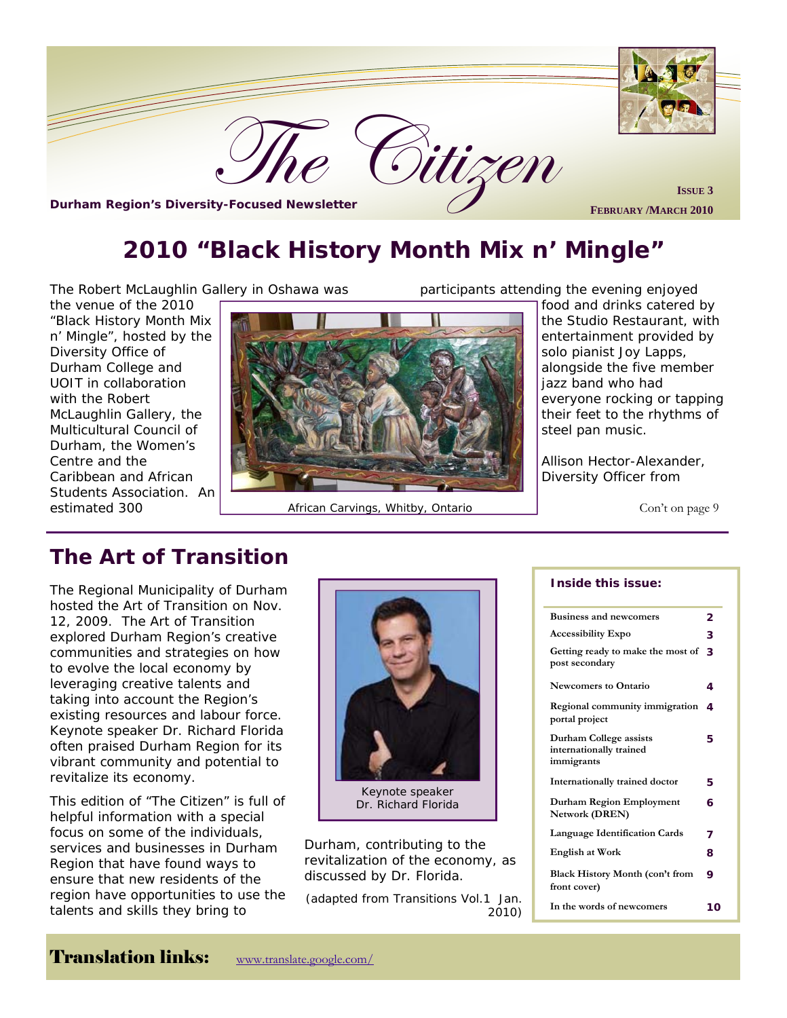

# **2010 "Black History Month Mix n' Mingle"**

The Robert McLaughlin Gallery in Oshawa was

the venue of the 2010 "Black History Month Mix n' Mingle", hosted by the Diversity Office of Durham College and UOIT in collaboration with the Robert McLaughlin Gallery, the Multicultural Council of Durham, the Women's Centre and the Caribbean and African Students Association. An



estimated 300 **African Carvings, Whitby, Ontario** Con't on page 9 Con't on page 9

participants attending the evening enjoyed

food and drinks catered by the Studio Restaurant, with entertainment provided by solo pianist Joy Lapps, alongside the five member jazz band who had everyone rocking or tapping their feet to the rhythms of steel pan music.

Allison Hector-Alexander, Diversity Officer from

# **The Art of Transition**

The Regional Municipality of Durham hosted the Art of Transition on Nov. 12, 2009. The Art of Transition explored Durham Region's creative communities and strategies on how to evolve the local economy by leveraging creative talents and taking into account the Region's existing resources and labour force. Keynote speaker Dr. Richard Florida often praised Durham Region for its vibrant community and potential to revitalize its economy.

This edition of "The Citizen" is full of helpful information with a special focus on some of the individuals, services and businesses in Durham Region that have found ways to ensure that new residents of the region have opportunities to use the talents and skills they bring to



Keynote speaker Dr. Richard Florida

Durham, contributing to the revitalization of the economy, as discussed by Dr. Florida.

*(adapted from Transitions Vol.1 Jan. 2010)* 

#### **Inside this issue:**

| <b>Business and newcomers</b>                                   | 2  |
|-----------------------------------------------------------------|----|
| <b>Accessibility Expo</b>                                       | 3  |
| Getting ready to make the most of<br>post secondary             | 3  |
| <b>Newcomers to Ontario</b>                                     | 4  |
| Regional community immigration<br>portal project                | 4  |
| Durham College assists<br>internationally trained<br>immigrants | 5  |
| Internationally trained doctor                                  | 5  |
| Durham Region Employment<br>Network (DREN)                      | 6  |
| <b>Language Identification Cards</b>                            | 7  |
| <b>English at Work</b>                                          | 8  |
| Black History Month (con't from<br>front cover)                 | 9  |
| In the words of newcomers                                       | 10 |

# Translation links: www.translate.google.com/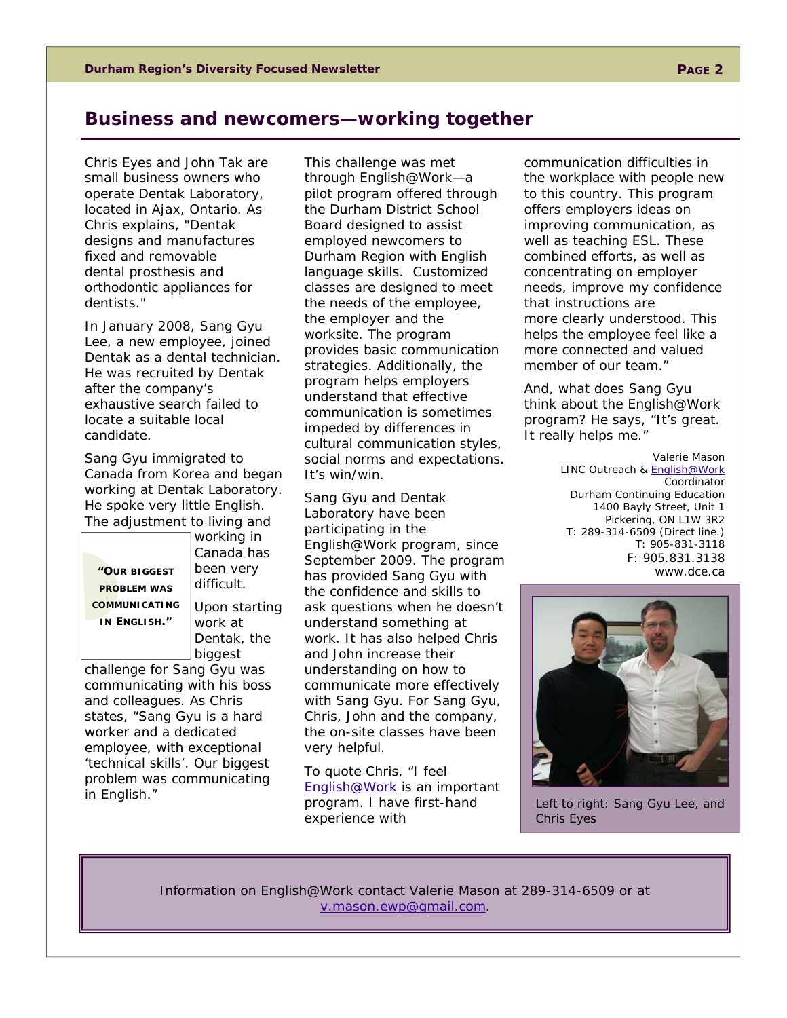## **Business and newcomers—working together**

Chris Eyes and John Tak are small business owners who operate Dentak Laboratory, located in Ajax, Ontario. As Chris explains, "Dentak designs and manufactures fixed and removable dental prosthesis and orthodontic appliances for dentists."

In January 2008, Sang Gyu Lee, a new employee, joined Dentak as a dental technician. He was recruited by Dentak after the company's exhaustive search failed to locate a suitable local candidate.

Sang Gyu immigrated to Canada from Korea and began working at Dentak Laboratory. He spoke very little English. The adjustment to living and

**"OUR BIGGEST PROBLEM WAS COMMUNICATING IN ENGLISH."** 

working in Canada has been very difficult. Upon starting work at Dentak, the biggest

challenge for Sang Gyu was communicating with his boss and colleagues. As Chris states, "Sang Gyu is a hard worker and a dedicated employee, with exceptional 'technical skills'. Our biggest problem was communicating in English."

ander stand that encements communication is sometimes mpeded by amerences in<br>cultural communication styles, This challenge was met through English@Work—a pilot program offered through the Durham District School Board designed to assist employed newcomers to Durham Region with English language skills. Customized classes are designed to meet the needs of the employee, the employer and the worksite. The program provides basic communication strategies. Additionally, the program helps employers understand that effective social norms and expectations. It's win/win.

Sang Gyu and Dentak Laboratory have been participating in the English@Work program, since September 2009. The program has provided Sang Gyu with the confidence and skills to ask questions when he doesn't understand something at work. It has also helped Chris and John increase their understanding on how to communicate more effectively with Sang Gyu. For Sang Gyu, Chris, John and the company, the on-site classes have been very helpful.

To quote Chris, "I feel English@Work is an important program. I have first-hand experience with

communication difficulties in the workplace with people new to this country. This program offers employers ideas on improving communication, as well as teaching ESL. These combined efforts, as well as concentrating on employer needs, improve my confidence that instructions are more clearly understood. This helps the employee feel like a more connected and valued member of our team."

And, what does Sang Gyu think about the English@Work program? He says, "It's great. It really helps me."

> *Valerie Mason LINC Outreach & English@Work Coordinator Durham Continuing Education 1400 Bayly Street, Unit 1 Pickering, ON L1W 3R2 T: 289-314-6509 (Direct line.) T: 905-831-3118 F: 905.831.3138 www.dce.ca*



Left to right: Sang Gyu Lee, and Chris Eyes

Information on English@Work contact Valerie Mason at 289-314-6509 or at v.mason.ewp@gmail.com.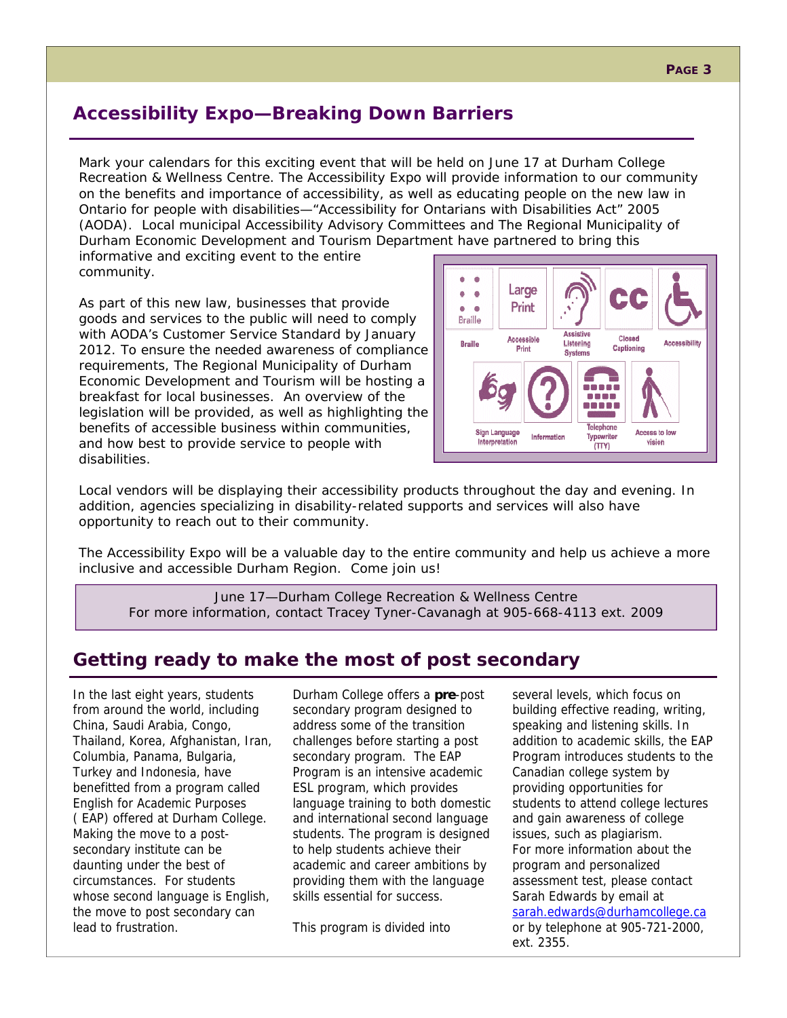# **Accessibility Expo—Breaking Down Barriers**

Mark your calendars for this exciting event that will be held on June 17 at Durham College Recreation & Wellness Centre. The Accessibility Expo will provide information to our community on the benefits and importance of accessibility, as well as educating people on the new law in Ontario for people with disabilities—"Accessibility for Ontarians with Disabilities Act" 2005 (AODA). Local municipal Accessibility Advisory Committees and The Regional Municipality of Durham Economic Development and Tourism Department have partnered to bring this

informative and exciting event to the entire community.

As part of this new law, businesses that provide goods and services to the public will need to comply with AODA's Customer Service Standard by January 2012. To ensure the needed awareness of compliance requirements, The Regional Municipality of Durham Economic Development and Tourism will be hosting a breakfast for local businesses. An overview of the legislation will be provided, as well as highlighting the benefits of accessible business within communities, and how best to provide service to people with disabilities.



Local vendors will be displaying their accessibility products throughout the day and evening. In addition, agencies specializing in disability-related supports and services will also have opportunity to reach out to their community.

The Accessibility Expo will be a valuable day to the entire community and help us achieve a more inclusive and accessible Durham Region. Come join us!

June 17—Durham College Recreation & Wellness Centre For more information, contact Tracey Tyner-Cavanagh at 905-668-4113 ext. 2009

# **Getting ready to make the most of post secondary**

In the last eight years, students from around the world, including China, Saudi Arabia, Congo, Thailand, Korea, Afghanistan, Iran, Columbia, Panama, Bulgaria, Turkey and Indonesia, have benefitted from a program called English for Academic Purposes ( EAP) offered at Durham College. Making the move to a postsecondary institute can be daunting under the best of circumstances. For students whose second language is English, the move to post secondary can lead to frustration.

Durham College offers a **pre**-post secondary program designed to address some of the transition challenges before starting a post secondary program. The EAP Program is an intensive academic ESL program, which provides language training to both domestic and international second language students. The program is designed to help students achieve their academic and career ambitions by providing them with the language skills essential for success.

This program is divided into

several levels, which focus on building effective reading, writing, speaking and listening skills. In addition to academic skills, the EAP Program introduces students to the Canadian college system by providing opportunities for students to attend college lectures and gain awareness of college issues, such as plagiarism. For more information about the program and personalized assessment test, please contact Sarah Edwards by email at sarah.edwards@durhamcollege.ca or by telephone at 905-721-2000, ext. 2355.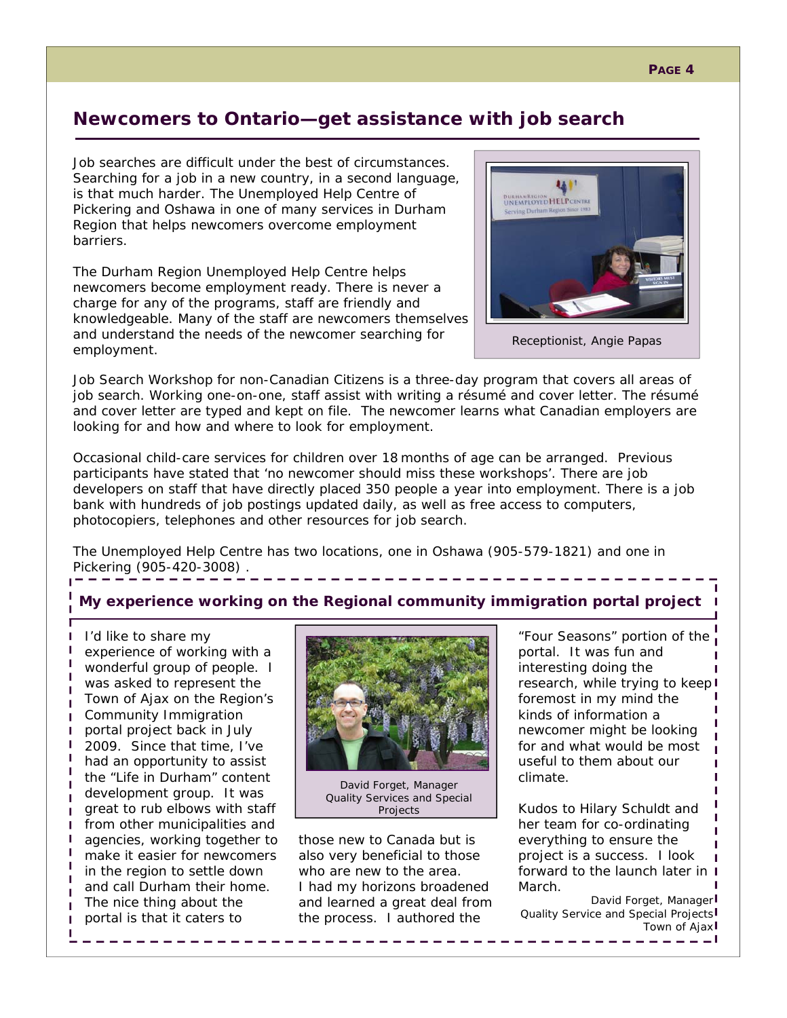#### **PAGE 4**

# **Newcomers to Ontario—get assistance with job search**

Job searches are difficult under the best of circumstances. Searching for a job in a new country, in a second language, is that much harder. The Unemployed Help Centre of Pickering and Oshawa in one of many services in Durham Region that helps newcomers overcome employment barriers.

The Durham Region Unemployed Help Centre helps newcomers become employment ready. There is never a charge for any of the programs, staff are friendly and knowledgeable. Many of the staff are newcomers themselves and understand the needs of the newcomer searching for employment.



Receptionist, Angie Papas

Job Search Workshop for non-Canadian Citizens is a three-day program that covers all areas of job search. Working one-on-one, staff assist with writing a résumé and cover letter. The résumé and cover letter are typed and kept on file. The newcomer learns what Canadian employers are looking for and how and where to look for employment.

Occasional child-care services for children over 18 months of age can be arranged. Previous participants have stated that 'no newcomer should miss these workshops'. There are job developers on staff that have directly placed 350 people a year into employment. There is a job bank with hundreds of job postings updated daily, as well as free access to computers, photocopiers, telephones and other resources for job search.

The Unemployed Help Centre has two locations, one in Oshawa (905-579-1821) and one in Pickering (905-420-3008) .

## **My experience working on the Regional community immigration portal project**

I'd like to share my experience of working with a wonderful group of people. I was asked to represent the Town of Ajax on the Region's Community Immigration portal project back in July 2009. Since that time, I've had an opportunity to assist the "Life in Durham" content development group. It was great to rub elbows with staff from other municipalities and agencies, working together to make it easier for newcomers in the region to settle down and call Durham their home. The nice thing about the portal is that it caters to

п п П H.

 $\mathbf{I}$  $\mathbf{I}$ П П



David Forget, Manager Quality Services and Special Projects

those new to Canada but is also very beneficial to those who are new to the area. I had my horizons broadened and learned a great deal from the process. I authored the

"Four Seasons" portion of the portal. It was fun and interesting doing the research, while trying to keep foremost in my mind the kinds of information a newcomer might be looking for and what would be most useful to them about our climate.

Kudos to Hilary Schuldt and her team for co-ordinating everything to ensure the project is a success. I look forward to the launch later in I March.

*David Forget, Manager Quality Service and Special Projects Town of Ajax*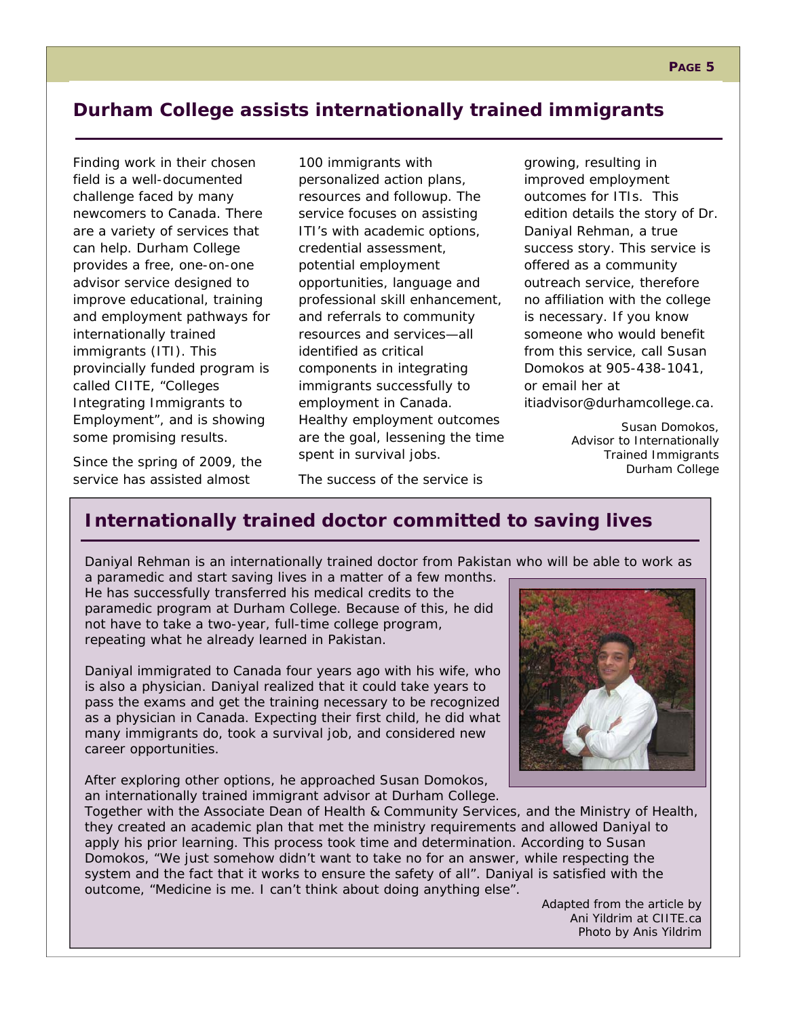# **Durham College assists internationally trained immigrants**

Finding work in their chosen field is a well-documented challenge faced by many newcomers to Canada. There are a variety of services that can help. Durham College provides a free, one-on-one advisor service designed to improve educational, training and employment pathways for internationally trained immigrants (ITI). This provincially funded program is called CIITE, "Colleges Integrating Immigrants to Employment", and is showing some promising results.

Since the spring of 2009, the service has assisted almost

100 immigrants with personalized action plans, resources and followup. The service focuses on assisting ITI's with academic options, credential assessment, potential employment opportunities, language and professional skill enhancement, and referrals to community resources and services—all identified as critical components in integrating immigrants successfully to employment in Canada. Healthy employment outcomes are the goal, lessening the time spent in survival jobs.

growing, resulting in improved employment outcomes for ITIs. This edition details the story of Dr. Daniyal Rehman, a true success story. This service is offered as a community outreach service, therefore no affiliation with the college is necessary. If you know someone who would benefit from this service, call Susan Domokos at 905-438-1041, or email her at itiadvisor@durhamcollege.ca.

> *Susan Domokos, Advisor to Internationally Trained Immigrants Durham College*

The success of the service is

# **Internationally trained doctor committed to saving lives**

Daniyal Rehman is an internationally trained doctor from Pakistan who will be able to work as

a paramedic and start saving lives in a matter of a few months. He has successfully transferred his medical credits to the paramedic program at Durham College. Because of this, he did not have to take a two-year, full-time college program, repeating what he already learned in Pakistan.

Daniyal immigrated to Canada four years ago with his wife, who is also a physician. Daniyal realized that it could take years to pass the exams and get the training necessary to be recognized as a physician in Canada. Expecting their first child, he did what many immigrants do, took a survival job, and considered new career opportunities.

After exploring other options, he approached Susan Domokos, an internationally trained immigrant advisor at Durham College.



Together with the Associate Dean of Health & Community Services, and the Ministry of Health, they created an academic plan that met the ministry requirements and allowed Daniyal to apply his prior learning. This process took time and determination. According to Susan Domokos, "We just somehow didn't want to take no for an answer, while respecting the system and the fact that it works to ensure the safety of all". Daniyal is satisfied with the outcome, "Medicine is me. I can't think about doing anything else".

*Adapted from the article by Ani Yildrim at CIITE.ca Photo by Anis Yildrim*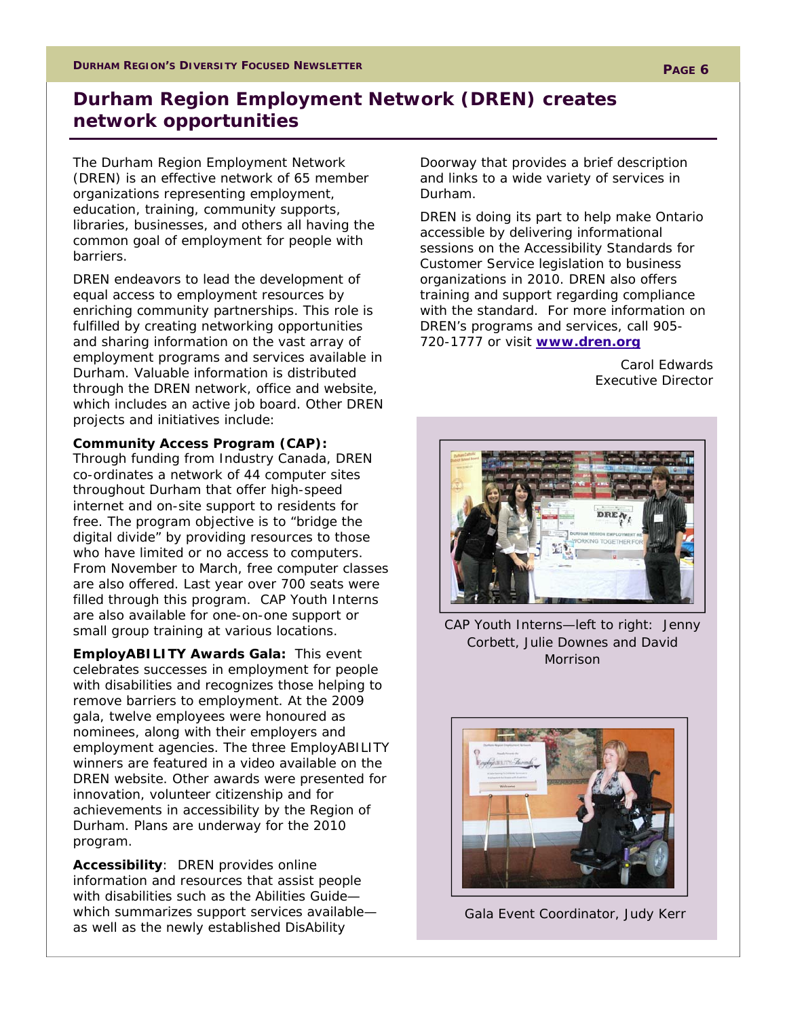# **Durham Region Employment Network (DREN) creates network opportunities**

The Durham Region Employment Network (DREN) is an effective network of 65 member organizations representing employment, education, training, community supports, libraries, businesses, and others all having the common goal of employment for people with barriers.

DREN endeavors to lead the development of equal access to employment resources by enriching community partnerships. This role is fulfilled by creating networking opportunities and sharing information on the vast array of employment programs and services available in Durham. Valuable information is distributed through the DREN network, office and website, which includes an active job board. Other DREN projects and initiatives include:

### *Community Access Program (CAP):*

Through funding from Industry Canada, DREN co-ordinates a network of 44 computer sites throughout Durham that offer high-speed internet and on-site support to residents for free. The program objective is to "bridge the digital divide" by providing resources to those who have limited or no access to computers. From November to March, free computer classes are also offered. Last year over 700 seats were filled through this program. CAP Youth Interns are also available for one-on-one support or small group training at various locations.

*EmployABILITY Awards Gala:* This event celebrates successes in employment for people with disabilities and recognizes those helping to remove barriers to employment. At the 2009 gala, twelve employees were honoured as nominees, along with their employers and employment agencies. The three EmployABILITY winners are featured in a video available on the DREN website. Other awards were presented for innovation, volunteer citizenship and for achievements in accessibility by the Region of Durham. Plans are underway for the 2010 program.

*Accessibility*: DREN provides online information and resources that assist people with disabilities such as the Abilities Guide which summarizes support services available as well as the newly established DisAbility

Doorway that provides a brief description and links to a wide variety of services in Durham.

DREN is doing its part to help make Ontario accessible by delivering informational sessions on the *Accessibility Standards for Customer Service* legislation to business organizations in 2010. DREN also offers training and support regarding compliance with the standard. For more information on DREN's programs and services, call 905- 720-1777 or visit **www.dren.org**

> *Carol Edwards Executive Director*



CAP Youth Interns—left to right: Jenny Corbett, Julie Downes and David Morrison



Gala Event Coordinator, Judy Kerr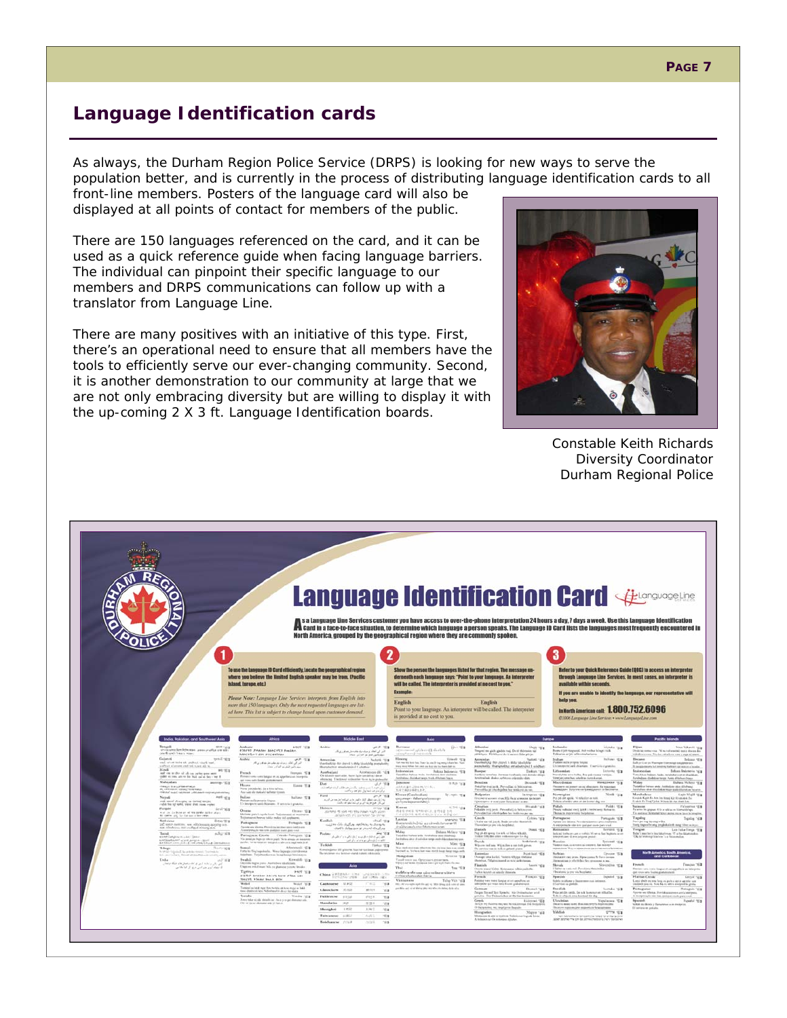# **Language Identification cards**

As always, the Durham Region Police Service (DRPS) is looking for new ways to serve the population better, and is currently in the process of distributing language identification cards to all

front-line members. Posters of the language card will also be displayed at all points of contact for members of the public.

There are 150 languages referenced on the card, and it can be used as a quick reference guide when facing language barriers. The individual can pinpoint their specific language to our members and DRPS communications can follow up with a translator from Language Line.

There are many positives with an initiative of this type. First, there's an operational need to ensure that all members have the tools to efficiently serve our ever-changing community. Second, it is another demonstration to our community at large that we are not only embracing diversity but are willing to display it with the up-coming 2 X 3 ft. Language Identification boards.



*Constable Keith Richards Diversity Coordinator Durham Regional Police* 

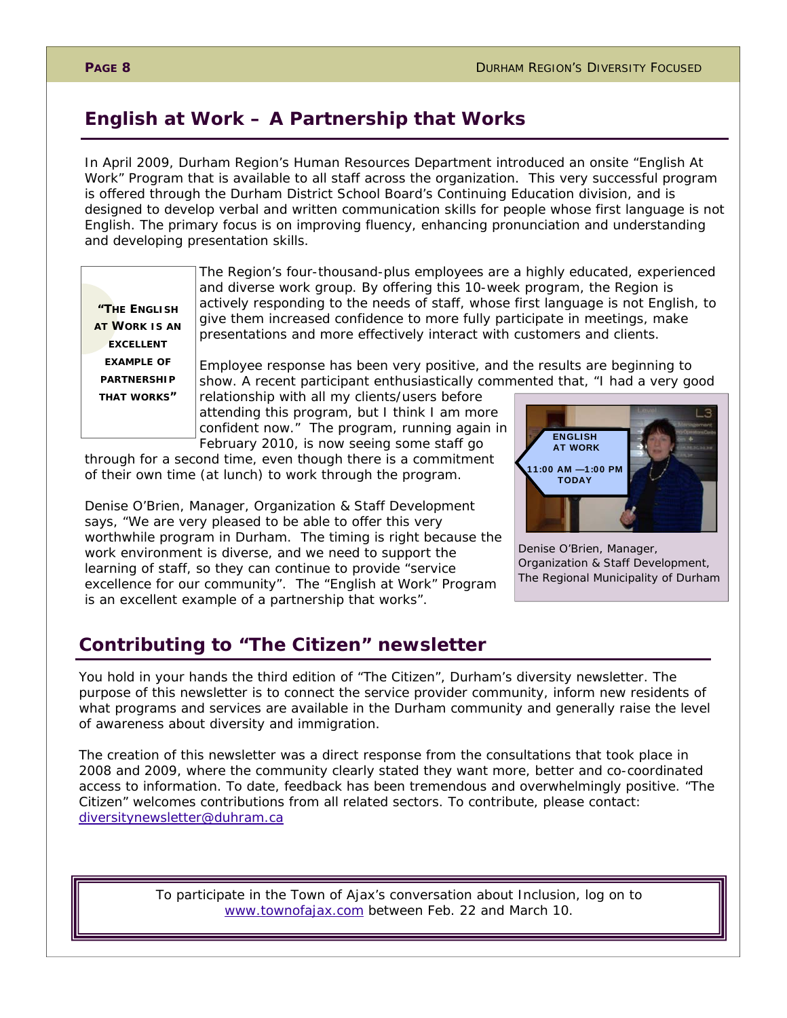# **English at Work – A Partnership that Works**

In April 2009, Durham Region's Human Resources Department introduced an onsite "English At Work" Program that is available to all staff across the organization. This very successful program is offered through the Durham District School Board's Continuing Education division, and is designed to develop verbal and written communication skills for people whose first language is not English. The primary focus is on improving fluency, enhancing pronunciation and understanding and developing presentation skills.

**"THE ENGLISH AT WORK IS AN EXCELLENT EXAMPLE OF PARTNERSHIP THAT WORKS"** 

The Region's four-thousand-plus employees are a highly educated, experienced and diverse work group. By offering this 10-week program, the Region is actively responding to the needs of staff, whose first language is not English, to give them increased confidence to more fully participate in meetings, make presentations and more effectively interact with customers and clients.

Employee response has been very positive, and the results are beginning to show. A recent participant enthusiastically commented that, "I had a very good

relationship with all my clients/users before attending this program, but I think I am more confident now." The program, running again in February 2010, is now seeing some staff go

through for a second time, even though there is a commitment of their own time (at lunch) to work through the program.

Denise O'Brien, Manager, Organization & Staff Development says, "We are very pleased to be able to offer this very worthwhile program in Durham. The timing is right because the work environment is diverse, and we need to support the learning of staff, so they can continue to provide "service excellence for our community". The "English at Work" Program is an excellent example of a partnership that works".

# **Contributing to "The Citizen" newsletter**

You hold in your hands the third edition of "The Citizen", Durham's diversity newsletter. The purpose of this newsletter is to connect the service provider community, inform new residents of what programs and services are available in the Durham community and generally raise the level of awareness about diversity and immigration.

The creation of this newsletter was a direct response from the consultations that took place in 2008 and 2009, where the community clearly stated they want more, better and co-coordinated access to information. To date, feedback has been tremendous and overwhelmingly positive. "The Citizen" welcomes contributions from all related sectors. To contribute, please contact: diversitynewsletter@duhram.ca

> *To participate in the Town of Ajax's conversation about Inclusion, log on to www.townofajax.com between Feb. 22 and March 10.*



Denise O'Brien, Manager, Organization & Staff Development, The Regional Municipality of Durham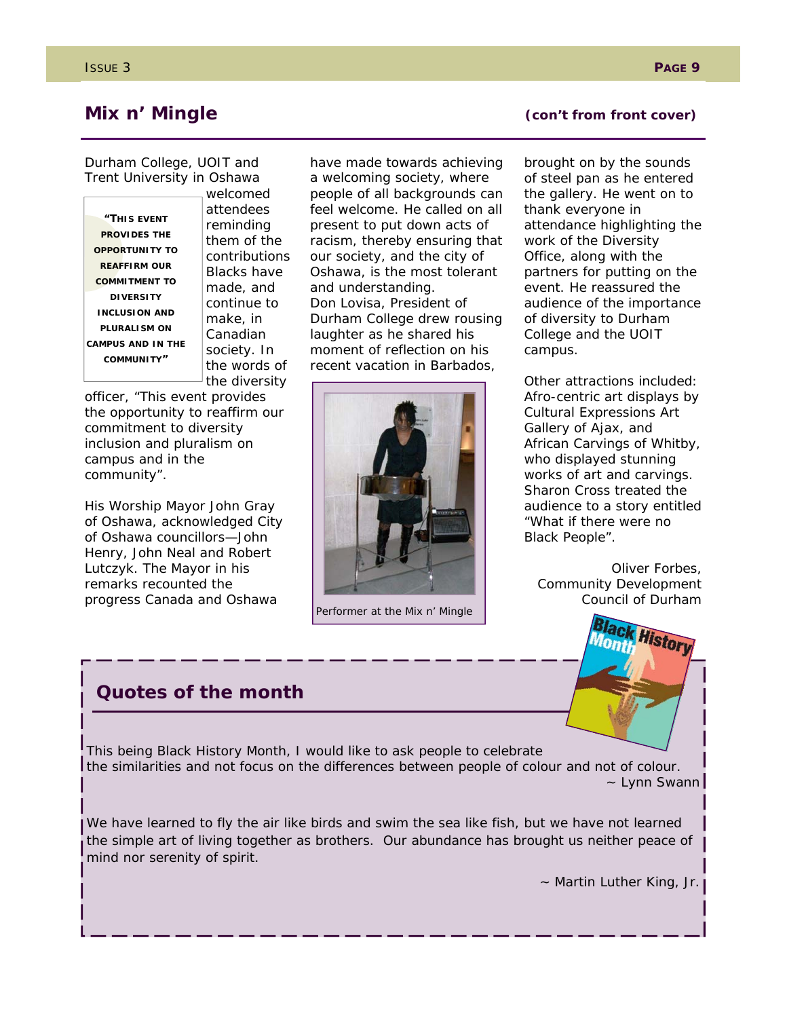Durham College, UOIT and Trent University in Oshawa

**"THIS EVENT PROVIDES THE OPPORTUNITY TO REAFFIRM OUR COMMITMENT TO DIVERSITY INCLUSION AND PLURALISM ON CAMPUS AND IN THE COMMUNITY"** 

welcomed attendees reminding them of the contributions Blacks have made, and continue to make, in Canadian society. In the words of the diversity

officer, "This event provides the opportunity to reaffirm our commitment to diversity inclusion and pluralism on campus and in the community".

His Worship Mayor John Gray of Oshawa, acknowledged City of Oshawa councillors—John Henry, John Neal and Robert Lutczyk. The Mayor in his remarks recounted the progress Canada and Oshawa

have made towards achieving a welcoming society, where people of all backgrounds can feel welcome. He called on all present to put down acts of racism, thereby ensuring that our society, and the city of Oshawa, is the most tolerant and understanding. Don Lovisa, President of Durham College drew rousing laughter as he shared his moment of reflection on his recent vacation in Barbados,



Performer at the Mix n' Mingle

## **Mix n' Mingle Contract Contract (Contract Cover)**

brought on by the sounds of steel pan as he entered the gallery. He went on to thank everyone in attendance highlighting the work of the Diversity Office, along with the partners for putting on the event. He reassured the audience of the importance of diversity to Durham College and the UOIT campus.

Other attractions included: Afro-centric art displays by Cultural Expressions Art Gallery of Ajax, and African Carvings of Whitby, who displayed stunning works of art and carvings. Sharon Cross treated the audience to a story entitled "What if there were no Black People".

*Oliver Forbes, Community Development Council of Durham* 



# **Quotes of the month**

This being Black History Month, I would like to ask people to celebrate the similarities and not focus on the differences between people of colour and not of colour. ~ Lynn Swann

We have learned to fly the air like birds and swim the sea like fish, but we have not learned the simple art of living together as brothers. Our abundance has brought us neither peace of mind nor serenity of spirit.

~ Martin Luther King, Jr.